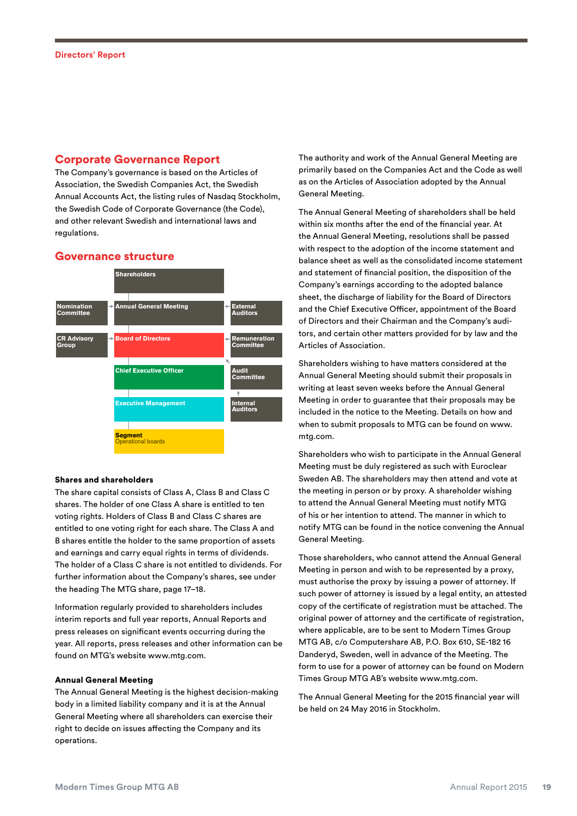# Corporate Governance Report

The Company's governance is based on the Articles of Association, the Swedish Companies Act, the Swedish Annual Accounts Act, the listing rules of Nasdaq Stockholm, the Swedish Code of Corporate Governance (the Code), and other relevant Swedish and international laws and regulations.

# Governance structure



#### Shares and shareholders

The share capital consists of Class A, Class B and Class C shares. The holder of one Class A share is entitled to ten voting rights. Holders of Class B and Class C shares are entitled to one voting right for each share. The Class A and B shares entitle the holder to the same proportion of assets and earnings and carry equal rights in terms of dividends. The holder of a Class C share is not entitled to dividends. For further information about the Company's shares, see under the heading The MTG share, page 17–18.

Information regularly provided to shareholders includes interim reports and full year reports, Annual Reports and press releases on significant events occurring during the year. All reports, press releases and other information can be found on MTG's website www.mtg.com.

### Annual General Meeting

The Annual General Meeting is the highest decision-making body in a limited liability company and it is at the Annual General Meeting where all shareholders can exercise their right to decide on issues affecting the Company and its operations.

The authority and work of the Annual General Meeting are primarily based on the Companies Act and the Code as well as on the Articles of Association adopted by the Annual General Meeting.

The Annual General Meeting of shareholders shall be held within six months after the end of the financial year. At the Annual General Meeting, resolutions shall be passed with respect to the adoption of the income statement and balance sheet as well as the consolidated income statement and statement of financial position, the disposition of the Company's earnings according to the adopted balance sheet, the discharge of liability for the Board of Directors and the Chief Executive Officer, appointment of the Board of Directors and their Chairman and the Company's auditors, and certain other matters provided for by law and the Articles of Association.

Shareholders wishing to have matters considered at the Annual General Meeting should submit their proposals in writing at least seven weeks before the Annual General Meeting in order to guarantee that their proposals may be included in the notice to the Meeting. Details on how and when to submit proposals to MTG can be found on www. mtg.com.

Shareholders who wish to participate in the Annual General Meeting must be duly registered as such with Euroclear Sweden AB. The shareholders may then attend and vote at the meeting in person or by proxy. A shareholder wishing to attend the Annual General Meeting must notify MTG of his or her intention to attend. The manner in which to notify MTG can be found in the notice convening the Annual General Meeting.

Those shareholders, who cannot attend the Annual General Meeting in person and wish to be represented by a proxy, must authorise the proxy by issuing a power of attorney. If such power of attorney is issued by a legal entity, an attested copy of the certificate of registration must be attached. The original power of attorney and the certificate of registration, where applicable, are to be sent to Modern Times Group MTG AB, c/o Computershare AB, P.O. Box 610, SE-182 16 Danderyd, Sweden, well in advance of the Meeting. The form to use for a power of attorney can be found on Modern Times Group MTG AB's website www.mtg.com.

The Annual General Meeting for the 2015 financial year will be held on 24 May 2016 in Stockholm.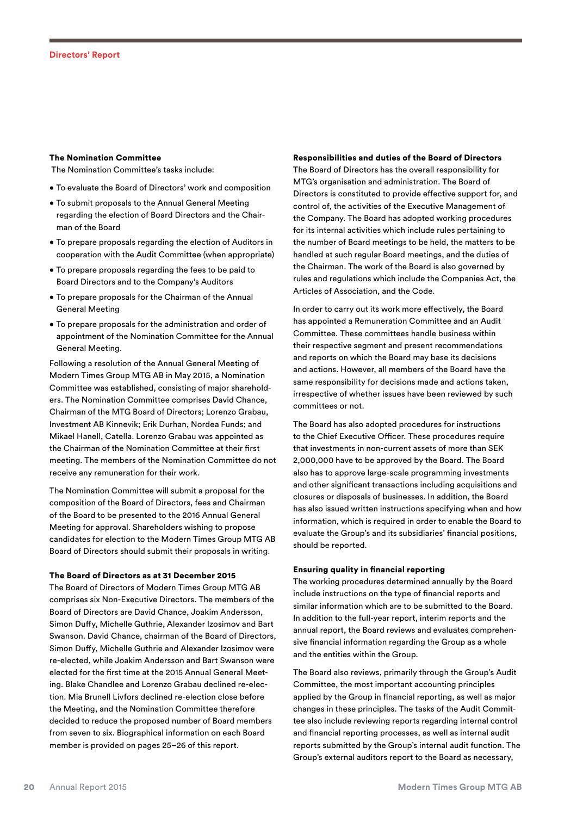#### The Nomination Committee

The Nomination Committee's tasks include:

- To evaluate the Board of Directors' work and composition
- To submit proposals to the Annual General Meeting regarding the election of Board Directors and the Chairman of the Board
- To prepare proposals regarding the election of Auditors in cooperation with the Audit Committee (when appropriate)
- To prepare proposals regarding the fees to be paid to Board Directors and to the Company's Auditors
- To prepare proposals for the Chairman of the Annual General Meeting
- To prepare proposals for the administration and order of appointment of the Nomination Committee for the Annual General Meeting.

Following a resolution of the Annual General Meeting of Modern Times Group MTG AB in May 2015, a Nomination Committee was established, consisting of major shareholders. The Nomination Committee comprises David Chance, Chairman of the MTG Board of Directors; Lorenzo Grabau, Investment AB Kinnevik; Erik Durhan, Nordea Funds; and Mikael Hanell, Catella. Lorenzo Grabau was appointed as the Chairman of the Nomination Committee at their first meeting. The members of the Nomination Committee do not receive any remuneration for their work.

The Nomination Committee will submit a proposal for the composition of the Board of Directors, fees and Chairman of the Board to be presented to the 2016 Annual General Meeting for approval. Shareholders wishing to propose candidates for election to the Modern Times Group MTG AB Board of Directors should submit their proposals in writing.

#### The Board of Directors as at 31 December 2015

The Board of Directors of Modern Times Group MTG AB comprises six Non-Executive Directors. The members of the Board of Directors are David Chance, Joakim Andersson, Simon Duffy, Michelle Guthrie, Alexander Izosimov and Bart Swanson. David Chance, chairman of the Board of Directors, Simon Duffy, Michelle Guthrie and Alexander Izosimov were re-elected, while Joakim Andersson and Bart Swanson were elected for the first time at the 2015 Annual General Meeting. Blake Chandlee and Lorenzo Grabau declined re-election. Mia Brunell Livfors declined re-election close before the Meeting, and the Nomination Committee therefore decided to reduce the proposed number of Board members from seven to six. Biographical information on each Board member is provided on pages 25–26 of this report.

#### Responsibilities and duties of the Board of Directors

The Board of Directors has the overall responsibility for MTG's organisation and administration. The Board of Directors is constituted to provide effective support for, and control of, the activities of the Executive Management of the Company. The Board has adopted working procedures for its internal activities which include rules pertaining to the number of Board meetings to be held, the matters to be handled at such regular Board meetings, and the duties of the Chairman. The work of the Board is also governed by rules and regulations which include the Companies Act, the Articles of Association, and the Code.

In order to carry out its work more effectively, the Board has appointed a Remuneration Committee and an Audit Committee. These committees handle business within their respective segment and present recommendations and reports on which the Board may base its decisions and actions. However, all members of the Board have the same responsibility for decisions made and actions taken, irrespective of whether issues have been reviewed by such committees or not.

The Board has also adopted procedures for instructions to the Chief Executive Officer. These procedures require that investments in non-current assets of more than SEK 2,000,000 have to be approved by the Board. The Board also has to approve large-scale programming investments and other significant transactions including acquisitions and closures or disposals of businesses. In addition, the Board has also issued written instructions specifying when and how information, which is required in order to enable the Board to evaluate the Group's and its subsidiaries' financial positions, should be reported.

#### Ensuring quality in financial reporting

The working procedures determined annually by the Board include instructions on the type of financial reports and similar information which are to be submitted to the Board. In addition to the full-year report, interim reports and the annual report, the Board reviews and evaluates comprehensive financial information regarding the Group as a whole and the entities within the Group.

The Board also reviews, primarily through the Group's Audit Committee, the most important accounting principles applied by the Group in financial reporting, as well as major changes in these principles. The tasks of the Audit Committee also include reviewing reports regarding internal control and financial reporting processes, as well as internal audit reports submitted by the Group's internal audit function. The Group's external auditors report to the Board as necessary,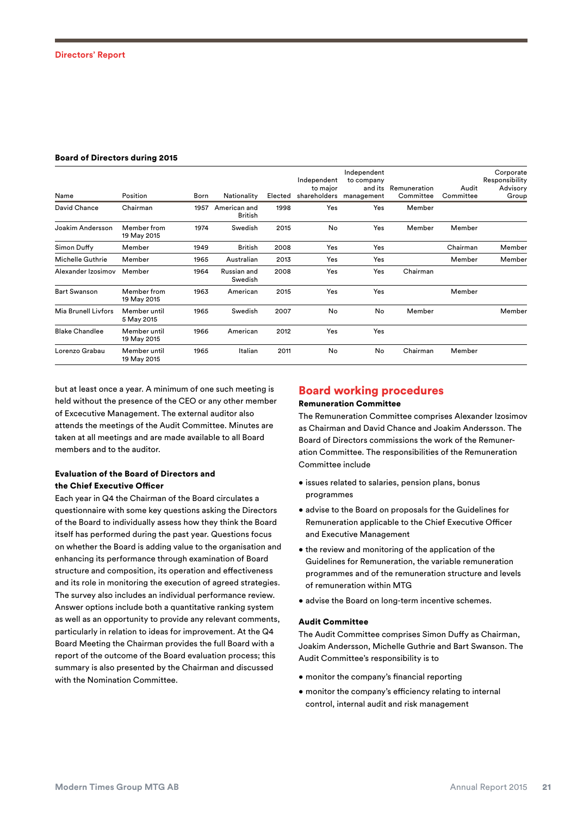#### Board of Directors during 2015

| Name                  | Position                    | Born | Nationality                    | Elected | Independent<br>to major | Independent<br>to company<br>and its<br>shareholders management | Remuneration<br>Committee | Audit<br>Committee | Corporate<br>Responsibility<br>Advisory<br>Group |
|-----------------------|-----------------------------|------|--------------------------------|---------|-------------------------|-----------------------------------------------------------------|---------------------------|--------------------|--------------------------------------------------|
| David Chance          | Chairman                    | 1957 | American and<br><b>British</b> | 1998    | Yes                     | Yes                                                             | Member                    |                    |                                                  |
| Joakim Andersson      | Member from<br>19 May 2015  | 1974 | Swedish                        | 2015    | No                      | Yes                                                             | Member                    | Member             |                                                  |
| Simon Duffy           | Member                      | 1949 | <b>British</b>                 | 2008    | Yes                     | Yes                                                             |                           | Chairman           | Member                                           |
| Michelle Guthrie      | Member                      | 1965 | Australian                     | 2013    | Yes                     | Yes                                                             |                           | Member             | Member                                           |
| Alexander Izosimov    | Member                      | 1964 | Russian and<br>Swedish         | 2008    | Yes                     | Yes                                                             | Chairman                  |                    |                                                  |
| <b>Bart Swanson</b>   | Member from<br>19 May 2015  | 1963 | American                       | 2015    | Yes                     | Yes                                                             |                           | Member             |                                                  |
| Mia Brunell Livfors   | Member until<br>5 May 2015  | 1965 | Swedish                        | 2007    | No                      | No                                                              | Member                    |                    | Member                                           |
| <b>Blake Chandlee</b> | Member until<br>19 May 2015 | 1966 | American                       | 2012    | Yes                     | Yes                                                             |                           |                    |                                                  |
| Lorenzo Grabau        | Member until<br>19 May 2015 | 1965 | Italian                        | 2011    | No                      | No                                                              | Chairman                  | Member             |                                                  |

but at least once a year. A minimum of one such meeting is held without the presence of the CEO or any other member of Excecutive Management. The external auditor also attends the meetings of the Audit Committee. Minutes are taken at all meetings and are made available to all Board members and to the auditor.

# Evaluation of the Board of Directors and the Chief Executive Officer

Each year in Q4 the Chairman of the Board circulates a questionnaire with some key questions asking the Directors of the Board to individually assess how they think the Board itself has performed during the past year. Questions focus on whether the Board is adding value to the organisation and enhancing its performance through examination of Board structure and composition, its operation and effectiveness and its role in monitoring the execution of agreed strategies. The survey also includes an individual performance review. Answer options include both a quantitative ranking system as well as an opportunity to provide any relevant comments, particularly in relation to ideas for improvement. At the Q4 Board Meeting the Chairman provides the full Board with a report of the outcome of the Board evaluation process; this summary is also presented by the Chairman and discussed with the Nomination Committee.

# Board working procedures

# Remuneration Committee

The Remuneration Committee comprises Alexander Izosimov as Chairman and David Chance and Joakim Andersson. The Board of Directors commissions the work of the Remuneration Committee. The responsibilities of the Remuneration Committee include

- issues related to salaries, pension plans, bonus programmes
- advise to the Board on proposals for the Guidelines for Remuneration applicable to the Chief Executive Officer and Executive Management
- the review and monitoring of the application of the Guidelines for Remuneration, the variable remuneration programmes and of the remuneration structure and levels of remuneration within MTG
- advise the Board on long-term incentive schemes.

#### Audit Committee

The Audit Committee comprises Simon Duffy as Chairman, Joakim Andersson, Michelle Guthrie and Bart Swanson. The Audit Committee's responsibility is to

- monitor the company's financial reporting
- monitor the company's efficiency relating to internal control, internal audit and risk management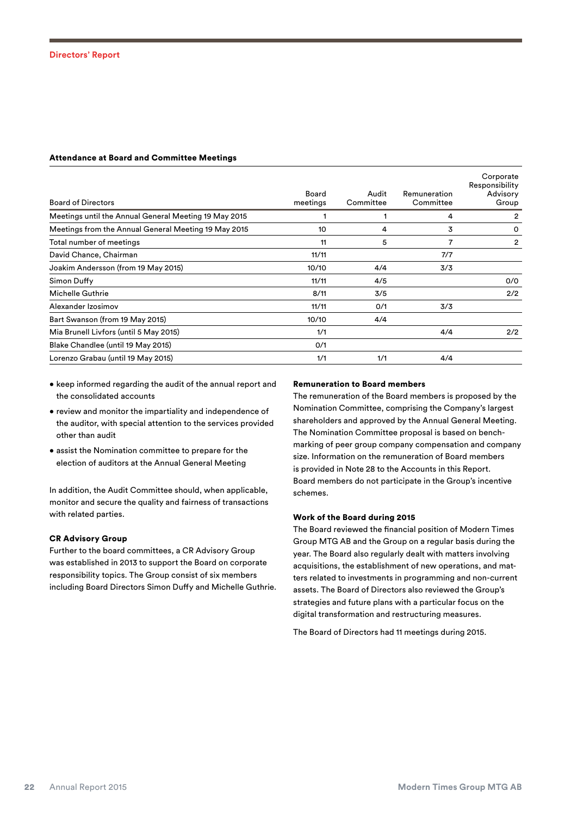## Attendance at Board and Committee Meetings

| <b>Board of Directors</b>                             | Board<br>meetings | Audit<br>Committee | Remuneration<br>Committee | Corporate<br>Responsibility<br>Advisory<br>Group |
|-------------------------------------------------------|-------------------|--------------------|---------------------------|--------------------------------------------------|
| Meetings until the Annual General Meeting 19 May 2015 |                   |                    | 4                         | 2                                                |
| Meetings from the Annual General Meeting 19 May 2015  | 10                | 4                  | 3                         | 0                                                |
| Total number of meetings                              | 11                | 5                  | 7                         | 2                                                |
| David Chance, Chairman                                | 11/11             |                    | 7/7                       |                                                  |
| Joakim Andersson (from 19 May 2015)                   | 10/10             | 4/4                | 3/3                       |                                                  |
| Simon Duffy                                           | 11/11             | 4/5                |                           | 0/0                                              |
| Michelle Guthrie                                      | 8/11              | 3/5                |                           | 2/2                                              |
| Alexander Izosimov                                    | 11/11             | O/1                | 3/3                       |                                                  |
| Bart Swanson (from 19 May 2015)                       | 10/10             | 4/4                |                           |                                                  |
| Mia Brunell Livfors (until 5 May 2015)                | 1/1               |                    | 4/4                       | 2/2                                              |
| Blake Chandlee (until 19 May 2015)                    | 0/1               |                    |                           |                                                  |
| Lorenzo Grabau (until 19 May 2015)                    | 1/1               | 1/1                | 4/4                       |                                                  |

- keep informed regarding the audit of the annual report and the consolidated accounts
- review and monitor the impartiality and independence of the auditor, with special attention to the services provided other than audit
- assist the Nomination committee to prepare for the election of auditors at the Annual General Meeting

In addition, the Audit Committee should, when applicable, monitor and secure the quality and fairness of transactions with related parties.

## CR Advisory Group

Further to the board committees, a CR Advisory Group was established in 2013 to support the Board on corporate responsibility topics. The Group consist of six members including Board Directors Simon Duffy and Michelle Guthrie.

#### Remuneration to Board members

The remuneration of the Board members is proposed by the Nomination Committee, comprising the Company's largest shareholders and approved by the Annual General Meeting. The Nomination Committee proposal is based on benchmarking of peer group company compensation and company size. Information on the remuneration of Board members is provided in Note 28 to the Accounts in this Report. Board members do not participate in the Group's incentive schemes.

# Work of the Board during 2015

The Board reviewed the financial position of Modern Times Group MTG AB and the Group on a regular basis during the year. The Board also regularly dealt with matters involving acquisitions, the establishment of new operations, and matters related to investments in programming and non-current assets. The Board of Directors also reviewed the Group's strategies and future plans with a particular focus on the digital transformation and restructuring measures.

The Board of Directors had 11 meetings during 2015.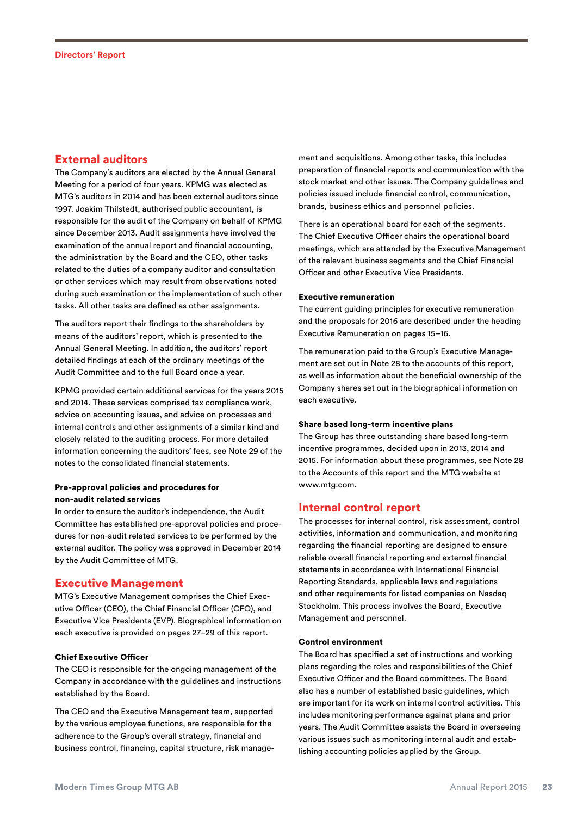# External auditors

The Company's auditors are elected by the Annual General Meeting for a period of four years. KPMG was elected as MTG's auditors in 2014 and has been external auditors since 1997. Joakim Thilstedt, authorised public accountant, is responsible for the audit of the Company on behalf of KPMG since December 2013. Audit assignments have involved the examination of the annual report and financial accounting, the administration by the Board and the CEO, other tasks related to the duties of a company auditor and consultation or other services which may result from observations noted during such examination or the implementation of such other tasks. All other tasks are defined as other assignments.

The auditors report their findings to the shareholders by means of the auditors' report, which is presented to the Annual General Meeting. In addition, the auditors' report detailed findings at each of the ordinary meetings of the Audit Committee and to the full Board once a year.

KPMG provided certain additional services for the years 2015 and 2014. These services comprised tax compliance work, advice on accounting issues, and advice on processes and internal controls and other assignments of a similar kind and closely related to the auditing process. For more detailed information concerning the auditors' fees, see Note 29 of the notes to the consolidated financial statements.

## Pre-approval policies and procedures for non-audit related services

In order to ensure the auditor's independence, the Audit Committee has established pre-approval policies and procedures for non-audit related services to be performed by the external auditor. The policy was approved in December 2014 by the Audit Committee of MTG.

# Executive Management

MTG's Executive Management comprises the Chief Executive Officer (CEO), the Chief Financial Officer (CFO), and Executive Vice Presidents (EVP). Biographical information on each executive is provided on pages 27–29 of this report.

## Chief Executive Officer

The CEO is responsible for the ongoing management of the Company in accordance with the guidelines and instructions established by the Board.

The CEO and the Executive Management team, supported by the various employee functions, are responsible for the adherence to the Group's overall strategy, financial and business control, financing, capital structure, risk management and acquisitions. Among other tasks, this includes preparation of financial reports and communication with the stock market and other issues. The Company guidelines and policies issued include financial control, communication, brands, business ethics and personnel policies.

There is an operational board for each of the segments. The Chief Executive Officer chairs the operational board meetings, which are attended by the Executive Management of the relevant business segments and the Chief Financial Officer and other Executive Vice Presidents.

## Executive remuneration

The current guiding principles for executive remuneration and the proposals for 2016 are described under the heading Executive Remuneration on pages 15–16.

The remuneration paid to the Group's Executive Management are set out in Note 28 to the accounts of this report, as well as information about the beneficial ownership of the Company shares set out in the biographical information on each executive.

#### Share based long-term incentive plans

The Group has three outstanding share based long-term incentive programmes, decided upon in 2013, 2014 and 2015. For information about these programmes, see Note 28 to the Accounts of this report and the MTG website at www.mtg.com.

# Internal control report

The processes for internal control, risk assessment, control activities, information and communication, and monitoring regarding the financial reporting are designed to ensure reliable overall financial reporting and external financial statements in accordance with International Financial Reporting Standards, applicable laws and regulations and other requirements for listed companies on Nasdaq Stockholm. This process involves the Board, Executive Management and personnel.

#### Control environment

The Board has specified a set of instructions and working plans regarding the roles and responsibilities of the Chief Executive Officer and the Board committees. The Board also has a number of established basic guidelines, which are important for its work on internal control activities. This includes monitoring performance against plans and prior years. The Audit Committee assists the Board in overseeing various issues such as monitoring internal audit and establishing accounting policies applied by the Group.